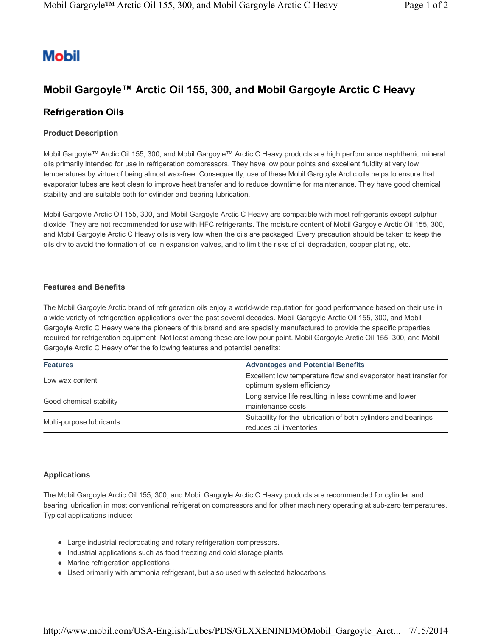# **Mobil**

## **Mobil Gargoyle™ Arctic Oil 155, 300, and Mobil Gargoyle Arctic C Heavy**

### **Refrigeration Oils**

#### **Product Description**

Mobil Gargoyle™ Arctic Oil 155, 300, and Mobil Gargoyle™ Arctic C Heavy products are high performance naphthenic mineral oils primarily intended for use in refrigeration compressors. They have low pour points and excellent fluidity at very low temperatures by virtue of being almost wax-free. Consequently, use of these Mobil Gargoyle Arctic oils helps to ensure that evaporator tubes are kept clean to improve heat transfer and to reduce downtime for maintenance. They have good chemical stability and are suitable both for cylinder and bearing lubrication.

Mobil Gargoyle Arctic Oil 155, 300, and Mobil Gargoyle Arctic C Heavy are compatible with most refrigerants except sulphur dioxide. They are not recommended for use with HFC refrigerants. The moisture content of Mobil Gargoyle Arctic Oil 155, 300, and Mobil Gargoyle Arctic C Heavy oils is very low when the oils are packaged. Every precaution should be taken to keep the oils dry to avoid the formation of ice in expansion valves, and to limit the risks of oil degradation, copper plating, etc.

#### **Features and Benefits**

The Mobil Gargoyle Arctic brand of refrigeration oils enjoy a world-wide reputation for good performance based on their use in a wide variety of refrigeration applications over the past several decades. Mobil Gargoyle Arctic Oil 155, 300, and Mobil Gargoyle Arctic C Heavy were the pioneers of this brand and are specially manufactured to provide the specific properties required for refrigeration equipment. Not least among these are low pour point. Mobil Gargoyle Arctic Oil 155, 300, and Mobil Gargoyle Arctic C Heavy offer the following features and potential benefits:

| <b>Features</b>          | <b>Advantages and Potential Benefits</b>                                                     |  |
|--------------------------|----------------------------------------------------------------------------------------------|--|
| Low wax content          | Excellent low temperature flow and evaporator heat transfer for<br>optimum system efficiency |  |
| Good chemical stability  | Long service life resulting in less downtime and lower                                       |  |
|                          | maintenance costs                                                                            |  |
| Multi-purpose lubricants | Suitability for the lubrication of both cylinders and bearings                               |  |
|                          | reduces oil inventories                                                                      |  |

#### **Applications**

The Mobil Gargoyle Arctic Oil 155, 300, and Mobil Gargoyle Arctic C Heavy products are recommended for cylinder and bearing lubrication in most conventional refrigeration compressors and for other machinery operating at sub-zero temperatures. Typical applications include:

- Large industrial reciprocating and rotary refrigeration compressors.
- Industrial applications such as food freezing and cold storage plants
- Marine refrigeration applications
- Used primarily with ammonia refrigerant, but also used with selected halocarbons